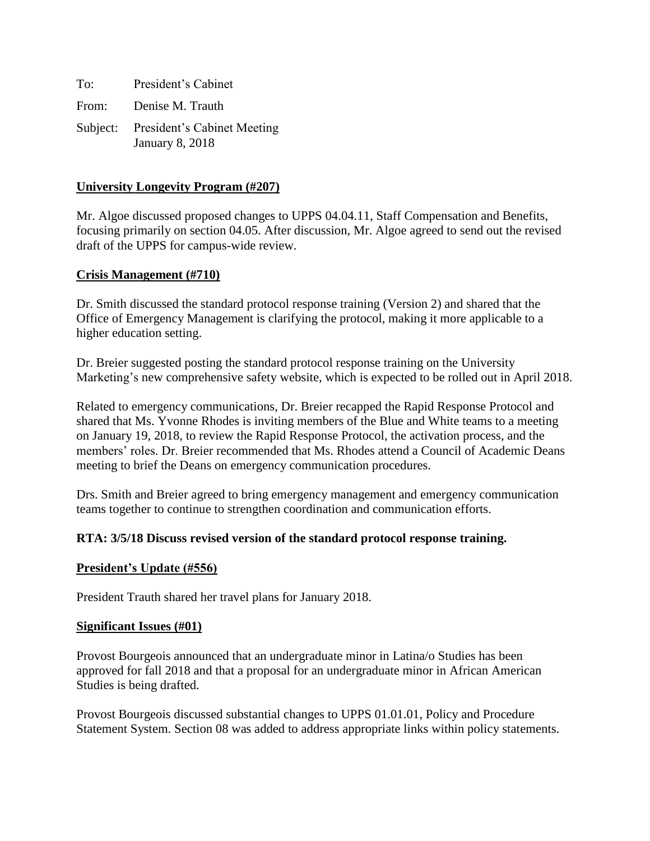To: President's Cabinet From: Denise M. Trauth Subject: President's Cabinet Meeting January 8, 2018

### **University Longevity Program (#207)**

Mr. Algoe discussed proposed changes to UPPS 04.04.11, Staff Compensation and Benefits, focusing primarily on section 04.05. After discussion, Mr. Algoe agreed to send out the revised draft of the UPPS for campus-wide review.

### **Crisis Management (#710)**

Dr. Smith discussed the standard protocol response training (Version 2) and shared that the Office of Emergency Management is clarifying the protocol, making it more applicable to a higher education setting.

Dr. Breier suggested posting the standard protocol response training on the University Marketing's new comprehensive safety website, which is expected to be rolled out in April 2018.

Related to emergency communications, Dr. Breier recapped the Rapid Response Protocol and shared that Ms. Yvonne Rhodes is inviting members of the Blue and White teams to a meeting on January 19, 2018, to review the Rapid Response Protocol, the activation process, and the members' roles. Dr. Breier recommended that Ms. Rhodes attend a Council of Academic Deans meeting to brief the Deans on emergency communication procedures.

Drs. Smith and Breier agreed to bring emergency management and emergency communication teams together to continue to strengthen coordination and communication efforts.

### **RTA: 3/5/18 Discuss revised version of the standard protocol response training.**

### **President's Update (#556)**

President Trauth shared her travel plans for January 2018.

#### **Significant Issues (#01)**

Provost Bourgeois announced that an undergraduate minor in Latina/o Studies has been approved for fall 2018 and that a proposal for an undergraduate minor in African American Studies is being drafted.

Provost Bourgeois discussed substantial changes to UPPS 01.01.01, Policy and Procedure Statement System. Section 08 was added to address appropriate links within policy statements.